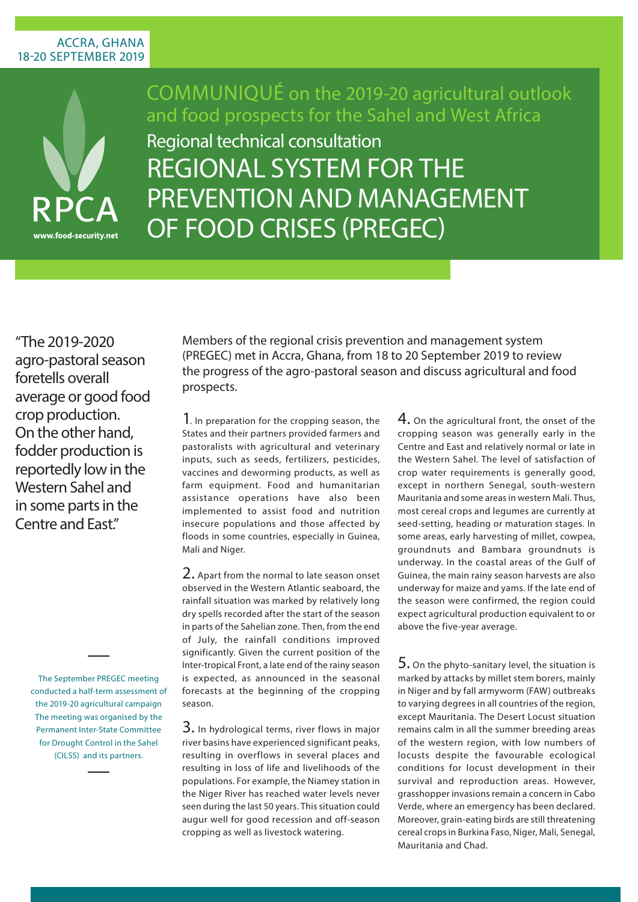## ACCRA, GHANA 18-20 septembER 2019



Communiqué on the 2019-20 agricultural outlook and food prospects for the Sahel and West Africa

REGIONAL SYSTEM FOR THE<br>PREVENTION AND MANAGEM Regional technical consultation PREVENTION AND MANAGEMENT of Food Crises (PREGEC)

"The 2019-2020 agro-pastoral season foretells overall average or good food crop production. On the other hand, fodder production is reportedly low in the Western Sahel and in some parts in the Centre and Fast"

> The September PREGEC meeting conducted a half-term assessment of the 2019-20 agricultural campaign The meeting was organised by the Permanent Inter-State Committee for Drought Control in the Sahel (CILSS) and its partners.

Members of the regional crisis prevention and management system (PREGEC) met in Accra, Ghana, from 18 to 20 September 2019 to review the progress of the agro-pastoral season and discuss agricultural and food prospects.

1. In preparation for the cropping season, the States and their partners provided farmers and pastoralists with agricultural and veterinary inputs, such as seeds, fertilizers, pesticides, vaccines and deworming products, as well as farm equipment. Food and humanitarian assistance operations have also been implemented to assist food and nutrition insecure populations and those affected by floods in some countries, especially in Guinea, Mali and Niger.

2. Apart from the normal to late season onset observed in the Western Atlantic seaboard, the rainfall situation was marked by relatively long dry spells recorded after the start of the season in parts of the Sahelian zone. Then, from the end of July, the rainfall conditions improved significantly. Given the current position of the Inter-tropical Front, a late end of the rainy season is expected, as announced in the seasonal forecasts at the beginning of the cropping season.

 $3.$  In hydrological terms, river flows in major river basins have experienced significant peaks, resulting in overflows in several places and resulting in loss of life and livelihoods of the populations. For example, the Niamey station in the Niger River has reached water levels never seen during the last 50 years. This situation could augur well for good recession and off-season cropping as well as livestock watering.

 $4.$  On the agricultural front, the onset of the cropping season was generally early in the Centre and East and relatively normal or late in the Western Sahel. The level of satisfaction of crop water requirements is generally good, except in northern Senegal, south-western Mauritania and some areas in western Mali. Thus, most cereal crops and legumes are currently at seed-setting, heading or maturation stages. In some areas, early harvesting of millet, cowpea, groundnuts and Bambara groundnuts is underway. In the coastal areas of the Gulf of Guinea, the main rainy season harvests are also underway for maize and yams. If the late end of the season were confirmed, the region could expect agricultural production equivalent to or above the five-year average.

 $5.$  On the phyto-sanitary level, the situation is marked by attacks by millet stem borers, mainly in Niger and by fall armyworm (FAW) outbreaks to varying degrees in all countries of the region, except Mauritania. The Desert Locust situation remains calm in all the summer breeding areas of the western region, with low numbers of locusts despite the favourable ecological conditions for locust development in their survival and reproduction areas. However, grasshopper invasions remain a concern in Cabo Verde, where an emergency has been declared. Moreover, grain-eating birds are still threatening cereal crops in Burkina Faso, Niger, Mali, Senegal, Mauritania and Chad.